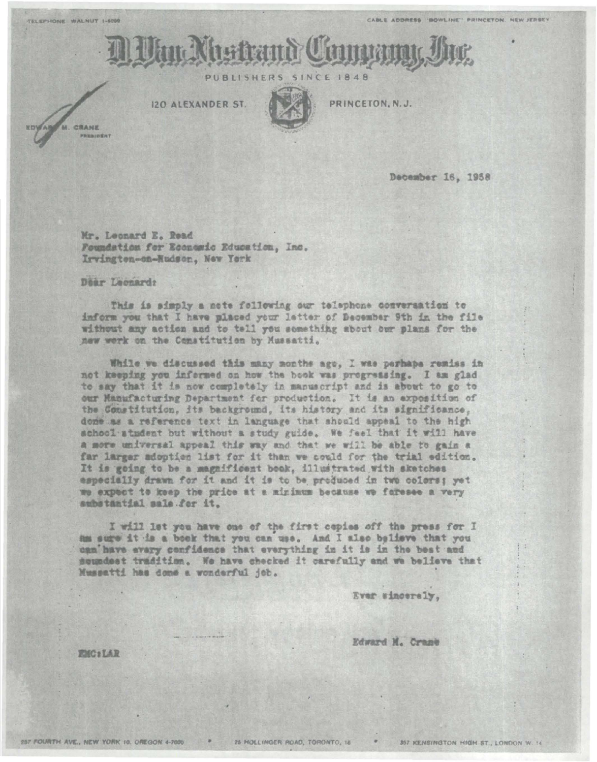

PUBLISHERS **SINCE 1848** 

**I2O ALEXANDER ST.** 



PRINCETON, N.J.

CRANE PRESIDENT

December 16, 1958

Mr. Leonard E. Read Foundation for Economic Education, Inc. Irvington-on-Hudson, New York

Dear Leonard:

This is simply a nete following our telephone conversation to inform you that I have placed your letter of December 9th in the file without any action and to tell you something about our plans for the new work on the Constitution by Mussatti.

While we discussed this many months ago. I was perhaps remiss in not keeping you informed on how the book was progressing. I am glad to say that it is now completely in manuscript and is about to go to our Manufacturing Department for production. It is an exposition of the Constitution, its background, its history and its significance, done as a reference text in language that should appeal to the high school atudent but without a study guide. We feel that it will have a more universal appeal this way and that we will be able to gain a far larger adoption list for it than we could for the trial edition. It is going to be a magnificant book, illustrated with sketches especially drawn for it and it is to be produced in two colors; yet we expect to keep the price at a minimum because we faresee a very substantial sale for it.

I will let you have one of the first cepies off the press for I am sure it is a book that you can use. And I also believe that you can have every confidence that everything in it is in the best and soundest tradition. We have checked it carefully and we believe that Mussatti has done a wonderful job.

Ever sinceraly.

Edward M. Crane

EMC:LAR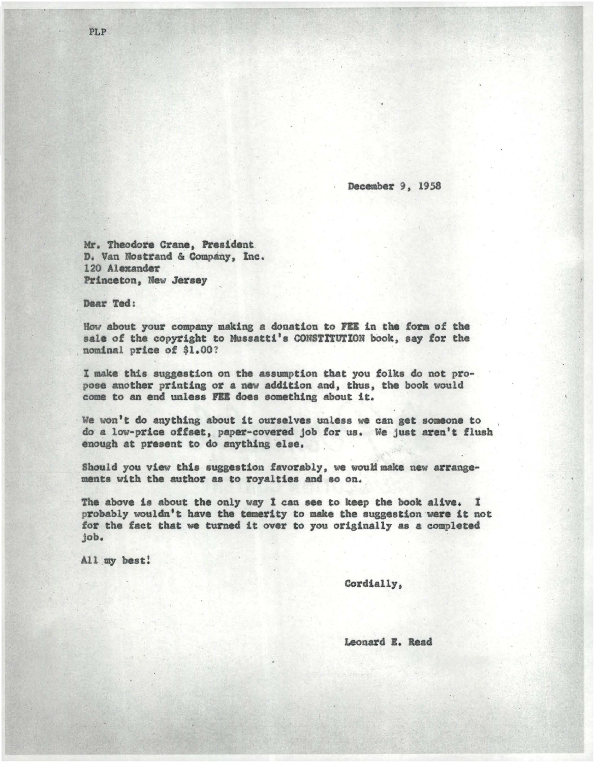December 9, 1958

Mr. Theodore Crane, President D. Van Nostrand & Company, Inc. 120 Alexander Princeton, Mew Jeraey

Dear Ted:

How about your company making a donation to FEE in the form of the sale of the copyright to Mussatti's CONSTITUTION book, say for the nominal price of \$1.00?

I make this suggestion on the aasuaption that you folks do not propose another printing or a new addition and, thus, the book would come to an end unless FEE does something about it.

We won't do anything about it ourselves unless we can get someone to do a low-price offaet, paper-covered job for us. We just aren't flush enough at present to do anything else.

Should you view this suggestion favorably, we would make new arrangements with the author as to royalties and so on.

The above is about the only way I can see to keep the book alive. I probably wouldn't have the temerity to make the suggestion were it not for the fact that we turned it over to you originally as a completed job.

All my beat!

Cordially,

Leonard E. Read

PLP